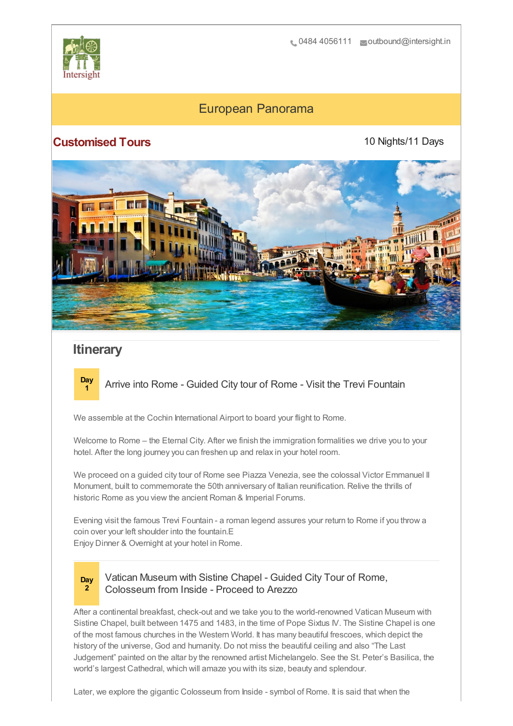

# European Panorama

## **Customised Tours**

10 Nights/11 Days



# **Itinerary**



**<sup>1</sup>** Arrive into Rome - Guided City tour of Rome - Visit the Trevi Fountain

We assemble at the Cochin International Airport to board your flight to Rome.

Welcome to Rome – the Eternal City. After we finish the immigration formalities we drive you to your hotel. After the long journey you can freshen up and relax in your hotel room.

We proceed on a guided city tour of Rome see Piazza Venezia, see the colossal Victor Emmanuel II Monument, built to commemorate the 50th anniversary of Italian reunification. Relive the thrills of historic Rome as you view the ancient Roman & Imperial Forums.

Evening visit the famous Trevi Fountain - a roman legend assures your return to Rome if you throw a coin over your left shoulder into the fountain.E Enjoy Dinner & Overnight at your hotel in Rome.

**Day 2**

#### Vatican Museum with Sistine Chapel - Guided City Tour of Rome, Colosseum from Inside - Proceed to Arezzo

After a continental breakfast, check-out and we take you to the world-renowned Vatican Museum with Sistine Chapel, built between 1475 and 1483, in the time of Pope Sixtus IV. The Sistine Chapel is one of the most famous churches in the Western World. It has many beautiful frescoes, which depict the history of the universe, God and humanity. Do not miss the beautiful ceiling and also "The Last Judgement" painted on the altar by the renowned artist Michelangelo. See the St. Peter's Basilica, the world's largest Cathedral, which will amaze you with its size, beauty and splendour.

Later, we explore the gigantic Colosseum from Inside - symbol of Rome. It is said that when the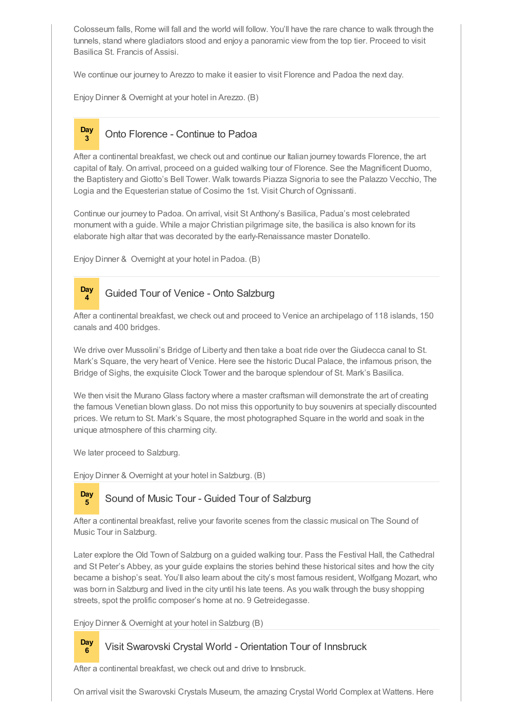Colosseum falls, Rome will fall and the world will follow. You'll have the rare chance to walk through the tunnels, stand where gladiators stood and enjoy a panoramic view from the top tier. Proceed to visit Basilica St. Francis of Assisi.

We continue our journey to Arezzo to make it easier to visit Florence and Padoa the next day.

Enjoy Dinner & Overnight at your hotel in Arezzo. (B)

**Day**

### **<sup>3</sup>** Onto Florence - Continue to Padoa

After a continental breakfast, we check out and continue our Italian journey towards Florence, the art capital of Italy. On arrival, proceed on a guided walking tour of Florence. See the Magnificent Duomo, the Baptistery and Giotto's Bell Tower. Walk towards Piazza Signoria to see the Palazzo Vecchio, The Logia and the Equesterian statue of Cosimo the 1st. Visit Church of Ognissanti.

Continue our journey to Padoa. On arrival, visit St Anthony's Basilica, Padua's most celebrated monument with a guide. While a major Christian pilgrimage site, the basilica is also known for its elaborate high altar that was decorated by the early-Renaissance master Donatello.

Enjoy Dinner & Overnight at your hotel in Padoa. (B)

#### **Day <sup>4</sup>** Guided Tour of Venice - Onto Salzburg

After a continental breakfast, we check out and proceed to Venice an archipelago of 118 islands, 150 canals and 400 bridges.

We drive over Mussolini's Bridge of Liberty and then take a boat ride over the Giudecca canal to St. Mark's Square, the very heart of Venice. Here see the historic Ducal Palace, the infamous prison, the Bridge of Sighs, the exquisite Clock Tower and the baroque splendour of St. Mark's Basilica.

We then visit the Murano Glass factory where a master craftsman will demonstrate the art of creating the famous Venetian blown glass. Do not miss this opportunity to buy souvenirs at specially discounted prices. We return to St. Mark's Square, the most photographed Square in the world and soak in the unique atmosphere of this charming city.

We later proceed to Salzburg.

**Day**

Enjoy Dinner & Overnight at your hotel in Salzburg. (B)

#### **Day <sup>5</sup>** Sound of Music Tour - Guided Tour of Salzburg

After a continental breakfast, relive your favorite scenes from the classic musical on The Sound of Music Tour in Salzburg.

Later explore the Old Town of Salzburg on a guided walking tour. Pass the Festival Hall, the Cathedral and St Peter's Abbey, as your guide explains the stories behind these historical sites and how the city became a bishop's seat. You'll also learn about the city's most famous resident, Wolfgang Mozart, who was born in Salzburg and lived in the city until his late teens. As you walk through the busy shopping streets, spot the prolific composer's home at no. 9 Getreidegasse.

Enjoy Dinner & Overnight at your hotel in Salzburg (B)

#### **<sup>6</sup>** Visit Swarovski Crystal World - Orientation Tour of Innsbruck

After a continental breakfast, we check out and drive to Innsbruck.

On arrival visit the Swarovski Crystals Museum, the amazing Crystal World Complex at Wattens. Here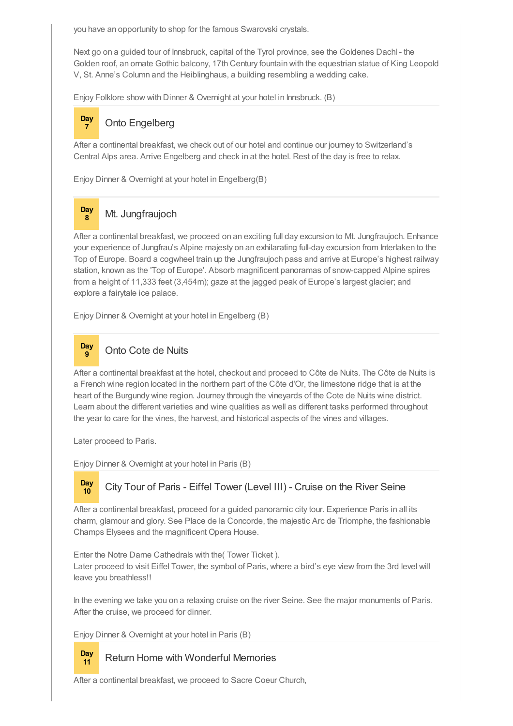you have an opportunity to shop for the famous Swarovski crystals.

Next go on a guided tour of Innsbruck, capital of the Tyrol province, see the Goldenes Dachl - the Golden roof, an ornate Gothic balcony, 17th Century fountain with the equestrian statue of King Leopold V, St. Anne's Column and the Heiblinghaus, a building resembling a wedding cake.

Enjoy Folklore show with Dinner & Overnight at your hotel in Innsbruck. (B)

#### **Day <sup>7</sup>** Onto Engelberg

After a continental breakfast, we check out of our hotel and continue our journey to Switzerland's Central Alps area. Arrive Engelberg and check in at the hotel. Rest of the day is free to relax.

Enjoy Dinner & Overnight at your hotel in Engelberg(B)



### **<sup>8</sup>** Mt. Jungfraujoch

After a continental breakfast, we proceed on an exciting full day excursion to Mt. Jungfraujoch. Enhance your experience of Jungfrau's Alpine majesty on an exhilarating full-day excursion from Interlaken to the Top of Europe. Board a cogwheel train up the Jungfraujoch pass and arrive at Europe's highest railway station, known as the 'Top of Europe'. Absorb magnificent panoramas of snow-capped Alpine spires from a height of 11,333 feet (3,454m); gaze at the jagged peak of Europe's largest glacier; and explore a fairytale ice palace.

Enjoy Dinner & Overnight at your hotel in Engelberg (B)



After a continental breakfast at the hotel, checkout and proceed to Côte de Nuits. The Côte de Nuits is a French wine region located in the northern part of the Côte d'Or, the limestone ridge that is at the heart of the Burgundy wine region. Journey through the vineyards of the Cote de Nuits wine district. Learn about the different varieties and wine qualities as well as different tasks performed throughout the year to care for the vines, the harvest, and historical aspects of the vines and villages.

Later proceed to Paris.

Enjoy Dinner & Overnight at your hotel in Paris (B)

# **Day**

**Day**

### **<sup>10</sup>** City Tour of Paris - Eiffel Tower (Level III) - Cruise on the River Seine

After a continental breakfast, proceed for a guided panoramic city tour. Experience Paris in all its charm, glamour and glory. See Place de la Concorde, the majestic Arc de Triomphe, the fashionable Champs Elysees and the magnificent Opera House.

Enter the Notre Dame Cathedrals with the( Tower Ticket ). Later proceed to visit Eiffel Tower, the symbol of Paris, where a bird's eye view from the 3rd level will leave you breathless!!

In the evening we take you on a relaxing cruise on the river Seine. See the major monuments of Paris. After the cruise, we proceed for dinner.

Enjoy Dinner & Overnight at your hotel in Paris (B)

### **<sup>11</sup>** Return Home with Wonderful Memories

After a continental breakfast, we proceed to Sacre Coeur Church,